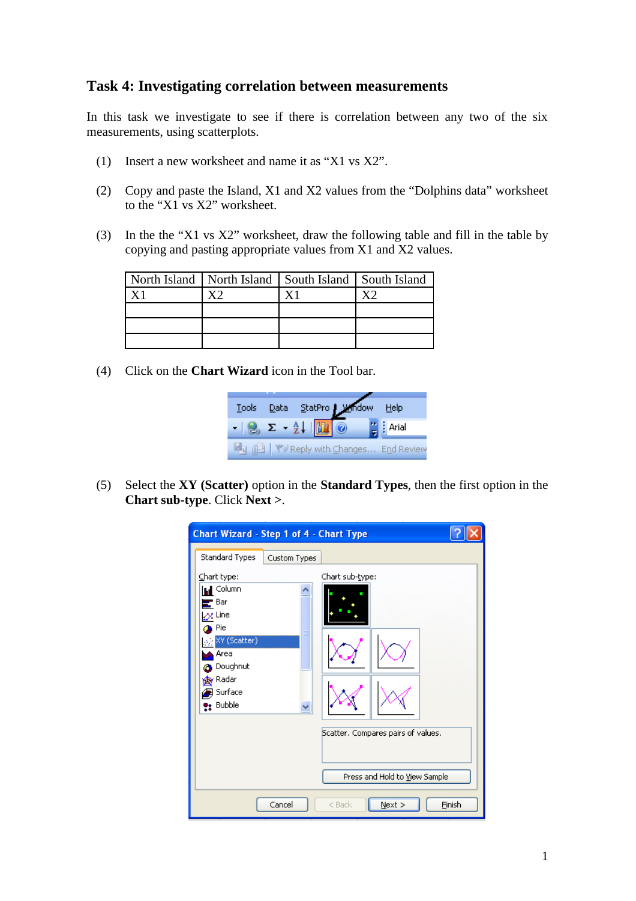## **Task 4: Investigating correlation between measurements**

In this task we investigate to see if there is correlation between any two of the six measurements, using scatterplots.

- (1) Insert a new worksheet and name it as "X1 vs X2".
- (2) Copy and paste the Island, X1 and X2 values from the "Dolphins data" worksheet to the "X1 vs X2" worksheet.
- (3) In the the "X1 vs X2" worksheet, draw the following table and fill in the table by copying and pasting appropriate values from X1 and X2 values.

|  | North Island   North Island   South Island   South Island |  |
|--|-----------------------------------------------------------|--|
|  |                                                           |  |
|  |                                                           |  |
|  |                                                           |  |
|  |                                                           |  |

(4) Click on the **Chart Wizard** icon in the Tool bar.



(5) Select the **XY (Scatter)** option in the **Standard Types**, then the first option in the **Chart sub-type**. Click **Next >**.

| <b>Chart Wizard - Step 1 of 4 - Chart Type</b>                                                                                                                                                  |              |                                                                                        |               |
|-------------------------------------------------------------------------------------------------------------------------------------------------------------------------------------------------|--------------|----------------------------------------------------------------------------------------|---------------|
| Standard Types<br>Chart type:<br><b>In Column</b><br>$\mathbf{r}$ Bar<br>$\alpha$ Line<br>Pie<br>XY (Scatter)<br>Area<br><b>2</b> Doughnut<br><b>A</b> y Radar<br><b>B</b> Surface<br>e: Bubble | Custom Types | Chart sub-type:<br>Scatter, Compares pairs of values,<br>Press and Hold to View Sample |               |
|                                                                                                                                                                                                 | Cancel       | Next<br>$<$ Back                                                                       | <b>Finish</b> |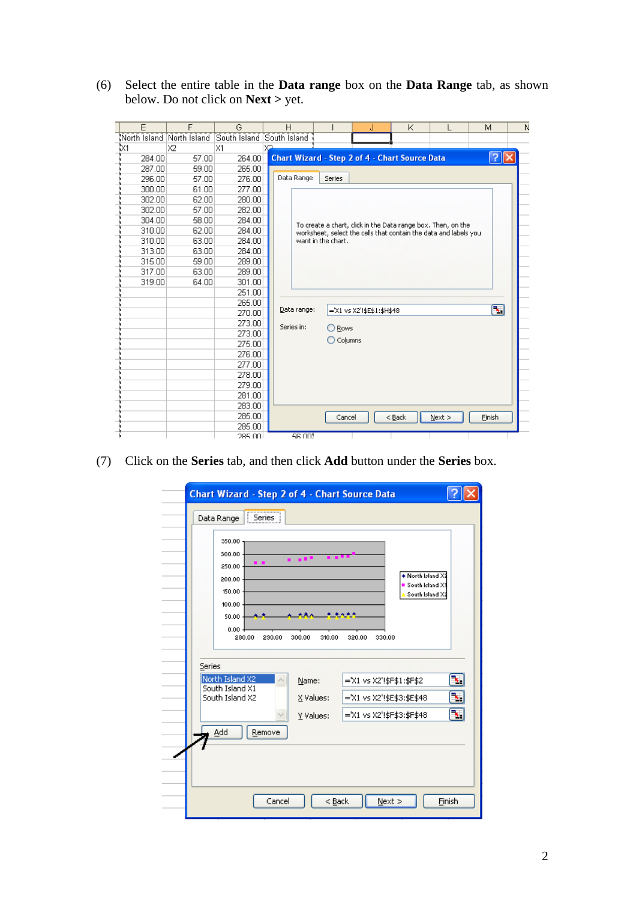(6) Select the entire table in the **Data range** box on the **Data Range** tab, as shown below. Do not click on **Next >** yet.

| E      | F     | G                                                   |    | H           |                                                       | J                          |          | Κ |                                                                  | м                         | N |
|--------|-------|-----------------------------------------------------|----|-------------|-------------------------------------------------------|----------------------------|----------|---|------------------------------------------------------------------|---------------------------|---|
|        |       | North Island North Island South Island South Island |    |             |                                                       |                            |          |   |                                                                  |                           |   |
| lx1    | X2    | X1                                                  | X2 |             |                                                       |                            |          |   |                                                                  |                           |   |
| 284.00 | 57.00 | 264.00                                              |    |             | <b>Chart Wizard - Step 2 of 4 - Chart Source Data</b> |                            |          |   |                                                                  | $  ?   \times$            |   |
| 287.00 | 59.00 | 265.00                                              |    |             |                                                       |                            |          |   |                                                                  |                           |   |
| 296.00 | 57.00 | 276.00                                              |    | Data Range  | <b>Series</b>                                         |                            |          |   |                                                                  |                           |   |
| 300.00 | 61.00 | 277.00                                              |    |             |                                                       |                            |          |   |                                                                  |                           |   |
| 302.00 | 62.00 | 280.00                                              |    |             |                                                       |                            |          |   |                                                                  |                           |   |
| 302.00 | 57.00 | 282.00                                              |    |             |                                                       |                            |          |   |                                                                  |                           |   |
| 304.00 | 58.00 | 284.00                                              |    |             |                                                       |                            |          |   | To create a chart, click in the Data range box, Then, on the     |                           |   |
| 310.00 | 62.00 | 284.00                                              |    |             |                                                       |                            |          |   | worksheet, select the cells that contain the data and labels you |                           |   |
| 310.00 | 63.00 | 284.00                                              |    |             | want in the chart.                                    |                            |          |   |                                                                  |                           |   |
| 313.00 | 63.00 | 284.00                                              |    |             |                                                       |                            |          |   |                                                                  |                           |   |
| 315.00 | 59.00 | 289.00                                              |    |             |                                                       |                            |          |   |                                                                  |                           |   |
| 317.00 | 63.00 | 289.00                                              |    |             |                                                       |                            |          |   |                                                                  |                           |   |
| 319.00 | 64.00 | 301.00                                              |    |             |                                                       |                            |          |   |                                                                  |                           |   |
|        |       | 251.00                                              |    |             |                                                       |                            |          |   |                                                                  |                           |   |
|        |       | 265.00                                              |    | Data range: |                                                       |                            |          |   |                                                                  | $\left[\mathbf{x}\right]$ |   |
|        |       | 270.00                                              |    |             |                                                       | ='X1 vs X2'!\$E\$1:\$H\$48 |          |   |                                                                  |                           |   |
|        |       | 273.00                                              |    | Series in:  | ◯ Rows                                                |                            |          |   |                                                                  |                           |   |
|        |       | 273.00                                              |    |             | $\bigcirc$ Columns                                    |                            |          |   |                                                                  |                           |   |
|        |       | 275.00                                              |    |             |                                                       |                            |          |   |                                                                  |                           |   |
|        |       | 276.00                                              |    |             |                                                       |                            |          |   |                                                                  |                           |   |
|        |       | 277.00                                              |    |             |                                                       |                            |          |   |                                                                  |                           |   |
|        |       | 278.00                                              |    |             |                                                       |                            |          |   |                                                                  |                           |   |
|        |       | 279.00                                              |    |             |                                                       |                            |          |   |                                                                  |                           |   |
|        |       | 281.00                                              |    |             |                                                       |                            |          |   |                                                                  |                           |   |
|        |       | 283.00                                              |    |             |                                                       |                            |          |   |                                                                  |                           |   |
|        |       | 285.00                                              |    |             | Cancel                                                |                            | $<$ Back |   | Next                                                             | Finish                    |   |
|        |       | 285.00                                              |    |             |                                                       |                            |          |   |                                                                  |                           |   |
|        |       | 285.00.                                             |    | 56.001      |                                                       |                            |          |   |                                                                  |                           |   |

(7) Click on the **Series** tab, and then click **Add** button under the **Series** box.

|        | Chart Wizard - Step 2 of 4 - Chart Source Data<br>Data Range<br>Series                               |                                 |                                                                                       |              |
|--------|------------------------------------------------------------------------------------------------------|---------------------------------|---------------------------------------------------------------------------------------|--------------|
|        | 350.00<br>300.00<br>. .<br>250.00<br>200.00<br>150.00<br>100.00<br>50.00<br>0.00<br>280.00<br>290.00 | .<br>300.00<br>310.00           | + North Island X2<br>South Island X1<br>South Island X2<br>320.00<br>330.00           |              |
| Series | North Island X2<br>South Island X1<br>South Island X2<br>Add<br>Remove                               | Name:<br>X Values:<br>Y Values: | ='X1 vs X2'!\$F\$1:\$F\$2<br>='X1 vs X2'!\$E\$3:\$E\$48<br>='X1 vs X2'!\$F\$3:\$F\$48 | ъ,<br>∐<br>◥ |
|        | Cancel                                                                                               | $Back$                          | $N$ ext >                                                                             | Finish       |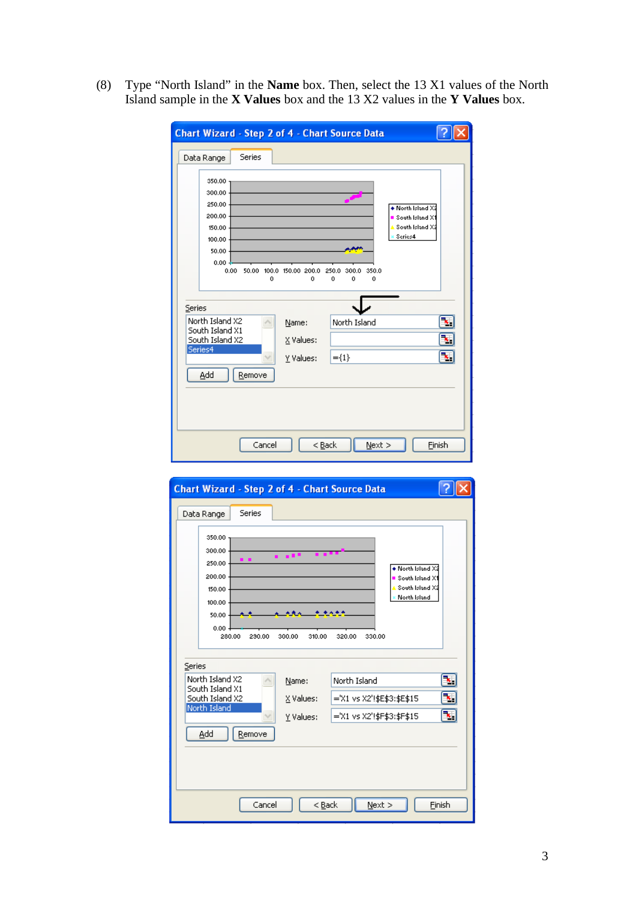(8) Type "North Island" in the **Name** box. Then, select the 13 X1 values of the North Island sample in the **X Values** box and the 13 X2 values in the **Y Values** box.

| <b>Chart Wizard - Step 2 of 4 - Chart Source Data</b>                                      |                               |                                        |                                                                                         |
|--------------------------------------------------------------------------------------------|-------------------------------|----------------------------------------|-----------------------------------------------------------------------------------------|
| Series<br>Data Range                                                                       |                               |                                        |                                                                                         |
| 350.00<br>300.00<br>250.00<br>200.00<br>150.00<br>100.00<br>50.00<br>$0.00 -$<br>0.00<br>0 | 50.00 100.0 150.00 200.0<br>o | 250.0<br>350.0<br>300.0<br>٥<br>0<br>٥ | ◆ North Island X:<br>$\blacksquare$ South Island $\times$<br>South Island X2<br>Series4 |
| Series                                                                                     |                               |                                        |                                                                                         |
| North Island X2<br>South Island X1<br>South Island X2                                      | Name:<br>X Values:            | North Island                           | ٦.<br>ъ,                                                                                |
| Series4                                                                                    | Y Values:                     | $=\{1\}$                               | ٦.                                                                                      |
| Add<br>Remove                                                                              |                               |                                        |                                                                                         |
|                                                                                            |                               |                                        |                                                                                         |
| Cancel                                                                                     | $<$ Back                      | $N$ ext >                              | Finish                                                                                  |

| <b>Chart Wizard - Step 2 of 4 - Chart Source Data</b>                                         |                  |                                                                                                                   |        |
|-----------------------------------------------------------------------------------------------|------------------|-------------------------------------------------------------------------------------------------------------------|--------|
| Series<br>Data Range                                                                          |                  |                                                                                                                   |        |
| 350.00<br>300.00<br>250.00<br>200.00<br>150.00<br>100.00<br>50.00<br>0.00<br>280.00<br>230.00 | 300.00<br>310.00 | $\blacklozenge$ North Island $\times 2$<br>South Island X1<br>South Island X2<br>North Island<br>320.00<br>330.00 |        |
| Series                                                                                        |                  |                                                                                                                   |        |
| North Island X2<br>South Island X1                                                            | Name:            | North Island                                                                                                      | ъ,     |
| South Island X2<br>North Island                                                               | X Values:        | ='X1 vs X2'!\$E\$3:\$E\$15                                                                                        | ×.     |
|                                                                                               | Y Values:        | ='X1 vs X2'!\$F\$3:\$F\$15                                                                                        | E.     |
| Add<br>Remove                                                                                 |                  |                                                                                                                   |        |
|                                                                                               |                  |                                                                                                                   |        |
|                                                                                               |                  |                                                                                                                   |        |
|                                                                                               |                  |                                                                                                                   |        |
| Cancel                                                                                        | < <u>B</u> ack   | Next                                                                                                              | Finish |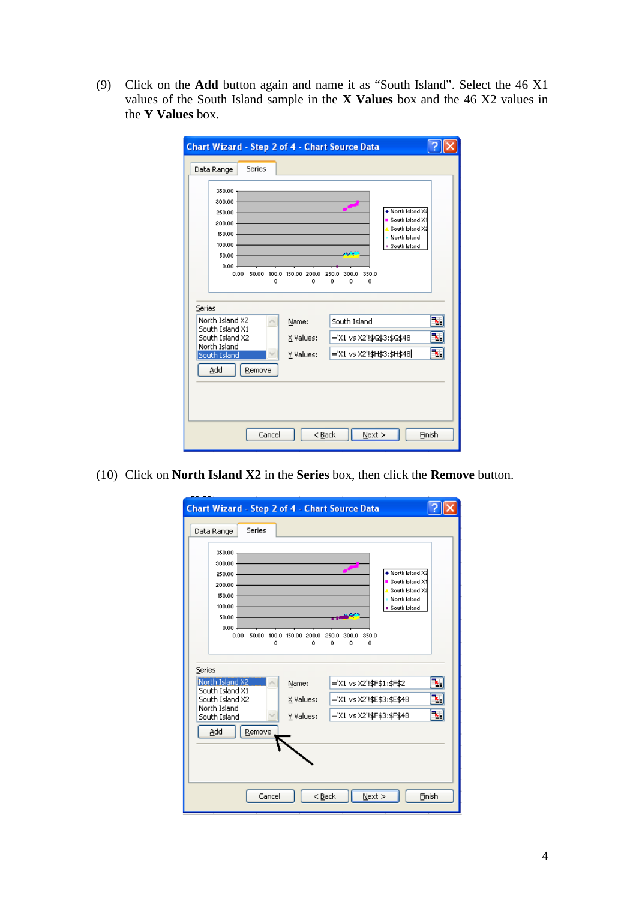(9) Click on the **Add** button again and name it as "South Island". Select the 46 X1 values of the South Island sample in the **X Values** box and the 46 X2 values in the **Y Values** box.

| <b>Chart Wizard - Step 2 of 4 - Chart Source Data</b>                                      |                               |                                                                                                                                                                          |        |
|--------------------------------------------------------------------------------------------|-------------------------------|--------------------------------------------------------------------------------------------------------------------------------------------------------------------------|--------|
| Series<br>Data Range                                                                       |                               |                                                                                                                                                                          |        |
| 350.00<br>300.00<br>250.00<br>200.00<br>150.00<br>100.00<br>50.00<br>$0.00 -$<br>0.00<br>0 | 50.00 100.0 150.00 200.0<br>0 | $\bullet$ North Island $\times$<br>$\blacksquare$ South Island $\times$ 1<br>South Island X2<br>Morth Island<br>= South Island<br>350.0<br>250.0<br>300.0<br>0<br>0<br>o |        |
| Series<br>North Island X2                                                                  | Name:                         | South Island                                                                                                                                                             | ъ,     |
| South Island X1<br>South Island X2                                                         | X Values:                     | ='X1 vs X2'!\$G\$3:\$G\$48                                                                                                                                               | ٦.     |
| North Island<br>v.<br>South Island                                                         | Y Values:                     | ='X1 vs X2'!\$H\$3:\$H\$48                                                                                                                                               | Ъ,     |
| Add<br>Remove                                                                              |                               |                                                                                                                                                                          |        |
|                                                                                            |                               |                                                                                                                                                                          |        |
|                                                                                            |                               |                                                                                                                                                                          |        |
| Cancel                                                                                     |                               | $<$ Back<br>Next                                                                                                                                                         | Finish |

(10) Click on **North Island X2** in the **Series** box, then click the **Remove** button.

| <b>Chart Wizard - Step 2 of 4 - Chart Source Data</b>                                                            |                                 |                                                                                                                                  |                                                           |  |
|------------------------------------------------------------------------------------------------------------------|---------------------------------|----------------------------------------------------------------------------------------------------------------------------------|-----------------------------------------------------------|--|
| Series<br>Data Range                                                                                             |                                 |                                                                                                                                  |                                                           |  |
| 350.00<br>300.00<br>250.00<br>200.00<br>150.00<br>100.00<br>50.00<br>$0.00 -$<br>0.00<br>Ō                       | 50.00 100.0 150.00 200.0<br>٥   | $\bullet$ North Island $\times$ 2<br>South Island X1<br>North Island<br>* South Island<br>350.0<br>250.0<br>300.0<br>Û<br>Ō<br>٥ | South Island X2                                           |  |
| Series<br>North Island X2<br>South Island X1<br>South Island X2<br>North Island<br>South Island<br>Add<br>Remove | Name:<br>X Values:<br>Y Values: | ='X1 vs X2'!\$F\$1:\$F\$2<br>='X1 vs X2'!\$E\$3:\$E\$48<br>='X1 vs X2'!\$F\$3:\$F\$48                                            | ъ,<br>$\mathbf{k}_\parallel$<br>$\left[\mathbf{x}\right]$ |  |
| Cancel<br>Next<br>Finish<br>$<$ Back                                                                             |                                 |                                                                                                                                  |                                                           |  |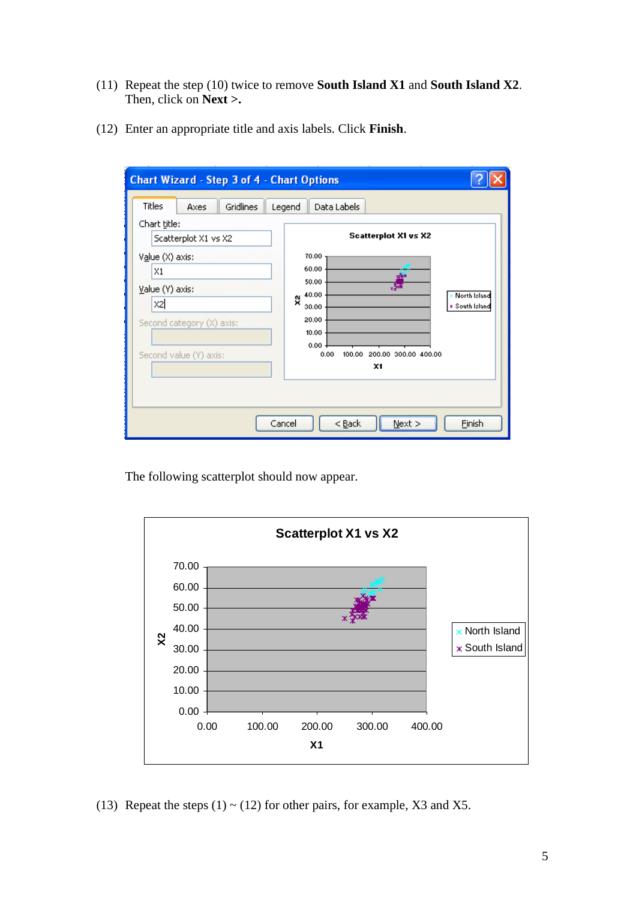- (11) Repeat the step (10) twice to remove **South Island X1** and **South Island X2**. Then, click on **Next >.**
- (12) Enter an appropriate title and axis labels. Click **Finish**.

| <b>Chart Wizard - Step 3 of 4 - Chart Options</b>                                                                                                                             |                                                                                                                                                                                                                               |
|-------------------------------------------------------------------------------------------------------------------------------------------------------------------------------|-------------------------------------------------------------------------------------------------------------------------------------------------------------------------------------------------------------------------------|
| Titles<br>Gridlines<br>Axes.<br>Chart title:<br>Scatterplot X1 vs X2<br>Value (X) axis:<br>X1<br>Value (Y) axis:<br>X2<br>Second category (X) axis:<br>Second value (Y) axis: | Data Labels<br>Legend<br><b>Scatterplot X1 vs X2</b><br>70.00<br>60.00<br>50.00<br>40.00<br>North Island<br>ŷ,<br><b>z</b> South Island<br>30.00<br>20.00<br>10.00<br>0.00<br>200.00 300.00 400.00<br>0.00<br>100.00<br>$x_1$ |
|                                                                                                                                                                               | $N$ ext ><br>Cancel<br>< <u>B</u> ack<br>Einish                                                                                                                                                                               |

The following scatterplot should now appear.



(13) Repeat the steps  $(1) \sim (12)$  for other pairs, for example, X3 and X5.